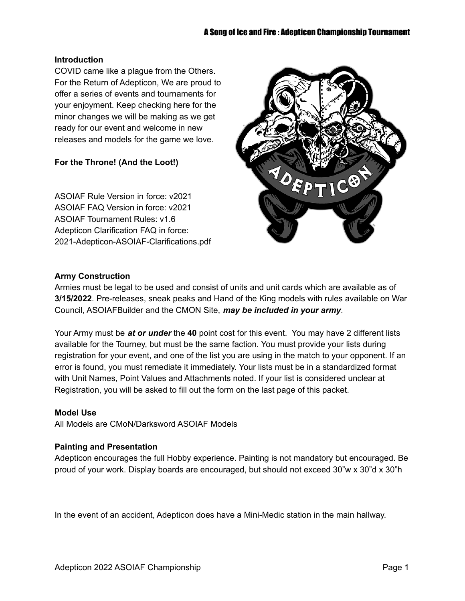#### **Introduction**

COVID came like a plague from the Others. For the Return of Adepticon, We are proud to offer a series of events and tournaments for your enjoyment. Keep checking here for the minor changes we will be making as we get ready for our event and welcome in new releases and models for the game we love.

#### **For the Throne! (And the Loot!)**

ASOIAF Rule Version in force: v2021 ASOIAF FAQ Version in force: v2021 ASOIAF Tournament Rules: v1.6 Adepticon Clarification FAQ in force: 2021-Adepticon-ASOIAF-Clarifications.pdf



#### **Army Construction**

Armies must be legal to be used and consist of units and unit cards which are available as of **3/15/2022**. Pre-releases, sneak peaks and Hand of the King models with rules available on War Council, ASOIAFBuilder and the CMON Site, *may be included in your army*.

Your Army must be *at or under* the **40** point cost for this event. You may have 2 different lists available for the Tourney, but must be the same faction. You must provide your lists during registration for your event, and one of the list you are using in the match to your opponent. If an error is found, you must remediate it immediately. Your lists must be in a standardized format with Unit Names, Point Values and Attachments noted. If your list is considered unclear at Registration, you will be asked to fill out the form on the last page of this packet.

#### **Model Use**

All Models are CMoN/Darksword ASOIAF Models

#### **Painting and Presentation**

Adepticon encourages the full Hobby experience. Painting is not mandatory but encouraged. Be proud of your work. Display boards are encouraged, but should not exceed 30"w x 30"d x 30"h

In the event of an accident, Adepticon does have a Mini-Medic station in the main hallway.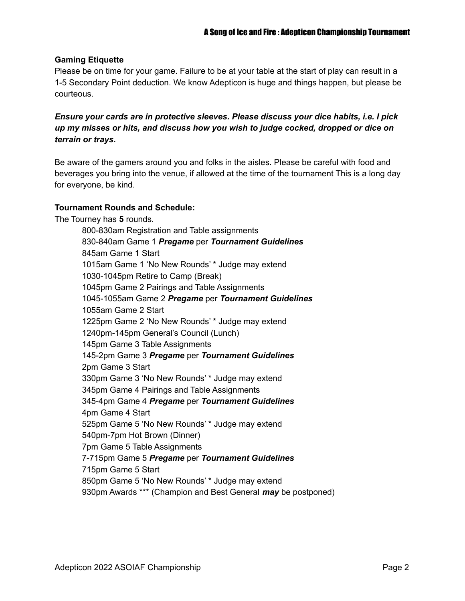#### **Gaming Etiquette**

Please be on time for your game. Failure to be at your table at the start of play can result in a 1-5 Secondary Point deduction. We know Adepticon is huge and things happen, but please be courteous.

*Ensure your cards are in protective sleeves. Please discuss your dice habits, i.e. I pick up my misses or hits, and discuss how you wish to judge cocked, dropped or dice on terrain or trays.*

Be aware of the gamers around you and folks in the aisles. Please be careful with food and beverages you bring into the venue, if allowed at the time of the tournament This is a long day for everyone, be kind.

#### **Tournament Rounds and Schedule:**

The Tourney has **5** rounds.

800-830am Registration and Table assignments 830-840am Game 1 *Pregame* per *Tournament Guidelines* 845am Game 1 Start 1015am Game 1 'No New Rounds' \* Judge may extend 1030-1045pm Retire to Camp (Break) 1045pm Game 2 Pairings and Table Assignments 1045-1055am Game 2 *Pregame* per *Tournament Guidelines* 1055am Game 2 Start 1225pm Game 2 'No New Rounds' \* Judge may extend 1240pm-145pm General's Council (Lunch) 145pm Game 3 Table Assignments 145-2pm Game 3 *Pregame* per *Tournament Guidelines* 2pm Game 3 Start 330pm Game 3 'No New Rounds' \* Judge may extend 345pm Game 4 Pairings and Table Assignments 345-4pm Game 4 *Pregame* per *Tournament Guidelines* 4pm Game 4 Start 525pm Game 5 'No New Rounds' \* Judge may extend 540pm-7pm Hot Brown (Dinner) 7pm Game 5 Table Assignments 7-715pm Game 5 *Pregame* per *Tournament Guidelines* 715pm Game 5 Start 850pm Game 5 'No New Rounds' \* Judge may extend 930pm Awards \*\*\* (Champion and Best General *may* be postponed)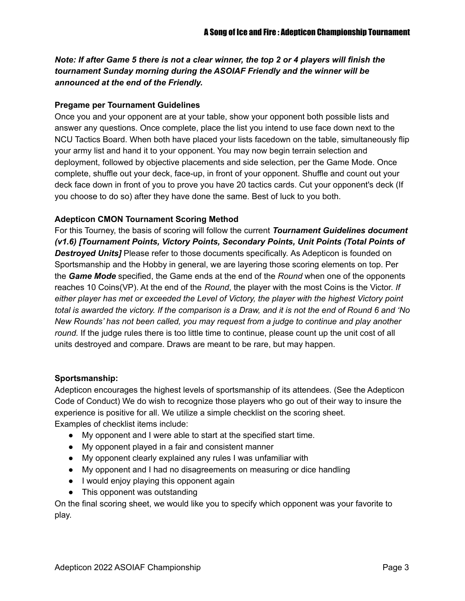Note: If after Game 5 there is not a clear winner, the top 2 or 4 players will finish the *tournament Sunday morning during the ASOIAF Friendly and the winner will be announced at the end of the Friendly.*

#### **Pregame per Tournament Guidelines**

Once you and your opponent are at your table, show your opponent both possible lists and answer any questions. Once complete, place the list you intend to use face down next to the NCU Tactics Board. When both have placed your lists facedown on the table, simultaneously flip your army list and hand it to your opponent. You may now begin terrain selection and deployment, followed by objective placements and side selection, per the Game Mode. Once complete, shuffle out your deck, face-up, in front of your opponent. Shuffle and count out your deck face down in front of you to prove you have 20 tactics cards. Cut your opponent's deck (If you choose to do so) after they have done the same. Best of luck to you both.

#### **Adepticon CMON Tournament Scoring Method**

For this Tourney, the basis of scoring will follow the current *Tournament Guidelines document (v1.6) [Tournament Points, Victory Points, Secondary Points, Unit Points (Total Points of Destroyed Units]* Please refer to those documents specifically. As Adepticon is founded on Sportsmanship and the Hobby in general, we are layering those scoring elements on top. Per the *Game Mode* specified, the Game ends at the end of the *Round* when one of the opponents reaches 10 Coins(VP). At the end of the *Round*, the player with the most Coins is the Victor. *If either player has met or exceeded the Level of Victory, the player with the highest Victory point* total is awarded the victory. If the comparison is a Draw, and it is not the end of Round 6 and 'No *New Rounds' has not been called, you may request from a judge to continue and play another round.* If the judge rules there is too little time to continue, please count up the unit cost of all units destroyed and compare. Draws are meant to be rare, but may happen.

#### **Sportsmanship:**

Adepticon encourages the highest levels of sportsmanship of its attendees. (See the Adepticon Code of Conduct) We do wish to recognize those players who go out of their way to insure the experience is positive for all. We utilize a simple checklist on the scoring sheet. Examples of checklist items include:

- My opponent and I were able to start at the specified start time.
- My opponent played in a fair and consistent manner
- My opponent clearly explained any rules I was unfamiliar with
- My opponent and I had no disagreements on measuring or dice handling
- I would enjoy playing this opponent again
- This opponent was outstanding

On the final scoring sheet, we would like you to specify which opponent was your favorite to play.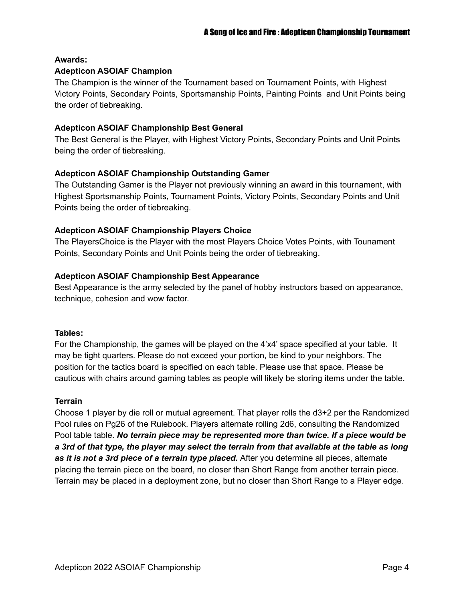#### **Awards:**

#### **Adepticon ASOIAF Champion**

The Champion is the winner of the Tournament based on Tournament Points, with Highest Victory Points, Secondary Points, Sportsmanship Points, Painting Points and Unit Points being the order of tiebreaking.

#### **Adepticon ASOIAF Championship Best General**

The Best General is the Player, with Highest Victory Points, Secondary Points and Unit Points being the order of tiebreaking.

#### **Adepticon ASOIAF Championship Outstanding Gamer**

The Outstanding Gamer is the Player not previously winning an award in this tournament, with Highest Sportsmanship Points, Tournament Points, Victory Points, Secondary Points and Unit Points being the order of tiebreaking.

#### **Adepticon ASOIAF Championship Players Choice**

The PlayersChoice is the Player with the most Players Choice Votes Points, with Tounament Points, Secondary Points and Unit Points being the order of tiebreaking.

#### **Adepticon ASOIAF Championship Best Appearance**

Best Appearance is the army selected by the panel of hobby instructors based on appearance, technique, cohesion and wow factor.

#### **Tables:**

For the Championship, the games will be played on the 4'x4' space specified at your table. It may be tight quarters. Please do not exceed your portion, be kind to your neighbors. The position for the tactics board is specified on each table. Please use that space. Please be cautious with chairs around gaming tables as people will likely be storing items under the table.

#### **Terrain**

Choose 1 player by die roll or mutual agreement. That player rolls the d3+2 per the Randomized Pool rules on Pg26 of the Rulebook. Players alternate rolling 2d6, consulting the Randomized Pool table table. *No terrain piece may be represented more than twice. If a piece would be* a 3rd of that type, the player may select the terrain from that available at the table as long *as it is not a 3rd piece of a terrain type placed.* After you determine all pieces, alternate placing the terrain piece on the board, no closer than Short Range from another terrain piece. Terrain may be placed in a deployment zone, but no closer than Short Range to a Player edge.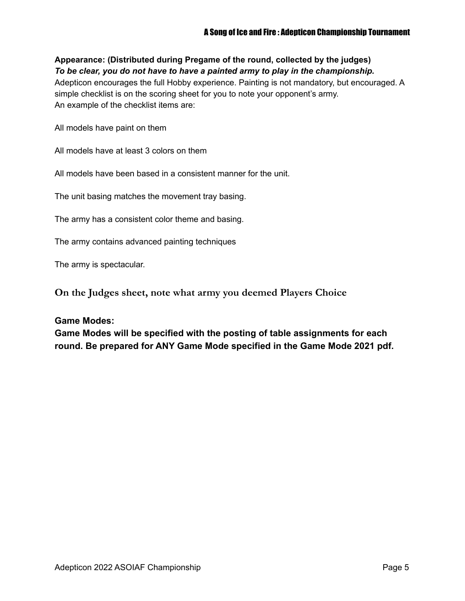**Appearance: (Distributed during Pregame of the round, collected by the judges)** *To be clear, you do not have to have a painted army to play in the championship.* Adepticon encourages the full Hobby experience. Painting is not mandatory, but encouraged. A simple checklist is on the scoring sheet for you to note your opponent's army. An example of the checklist items are:

All models have paint on them

All models have at least 3 colors on them

All models have been based in a consistent manner for the unit.

The unit basing matches the movement tray basing.

The army has a consistent color theme and basing.

The army contains advanced painting techniques

The army is spectacular.

**On the Judges sheet, note what army you deemed Players Choice**

#### **Game Modes:**

**Game Modes will be specified with the posting of table assignments for each round. Be prepared for ANY Game Mode specified in the Game Mode 2021 pdf.**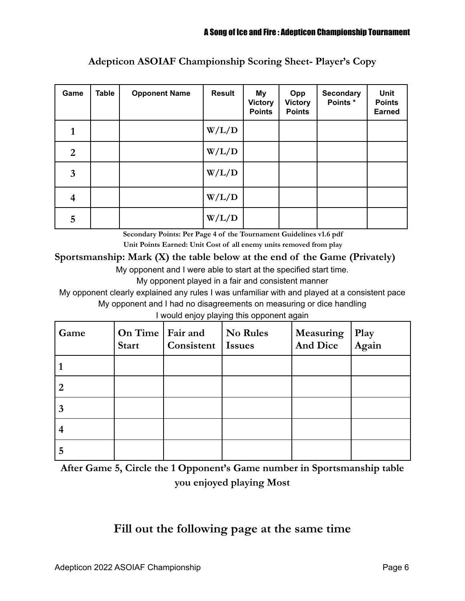| Game           | <b>Table</b> | <b>Opponent Name</b> | <b>Result</b> | <b>My</b><br><b>Victory</b><br><b>Points</b> | Opp<br><b>Victory</b><br><b>Points</b> | <b>Secondary</b><br>Points * | Unit<br><b>Points</b><br><b>Earned</b> |
|----------------|--------------|----------------------|---------------|----------------------------------------------|----------------------------------------|------------------------------|----------------------------------------|
| 1              |              |                      | W/L/D         |                                              |                                        |                              |                                        |
| $\overline{2}$ |              |                      | W/L/D         |                                              |                                        |                              |                                        |
| 3              |              |                      | W/L/D         |                                              |                                        |                              |                                        |
| 4              |              |                      | W/L/D         |                                              |                                        |                              |                                        |
| 5              |              |                      | W/L/D         |                                              |                                        |                              |                                        |

# **Adepticon ASOIAF Championship Scoring Sheet- Player's Copy**

**Secondary Points: Per Page 4 of the Tournament Guidelines v1.6 pdf**

**Unit Points Earned: Unit Cost of all enemy units removed from play**

## **Sportsmanship: Mark (X) the table below at the end of the Game (Privately)**

My opponent and I were able to start at the specified start time.

My opponent played in a fair and consistent manner

My opponent clearly explained any rules I was unfamiliar with and played at a consistent pace My opponent and I had no disagreements on measuring or dice handling

I would enjoy playing this opponent again

| Game | On Time   Fair and<br><b>Start</b> | Consistent | No Rules<br><b>Issues</b> | Measuring<br><b>And Dice</b> | Play<br>Again |
|------|------------------------------------|------------|---------------------------|------------------------------|---------------|
|      |                                    |            |                           |                              |               |
| 2    |                                    |            |                           |                              |               |
| 3    |                                    |            |                           |                              |               |
|      |                                    |            |                           |                              |               |
| 5    |                                    |            |                           |                              |               |

**After Game 5, Circle the 1 Opponent's Game number in Sportsmanship table you enjoyed playing Most**

# **Fill out the following page at the same time**